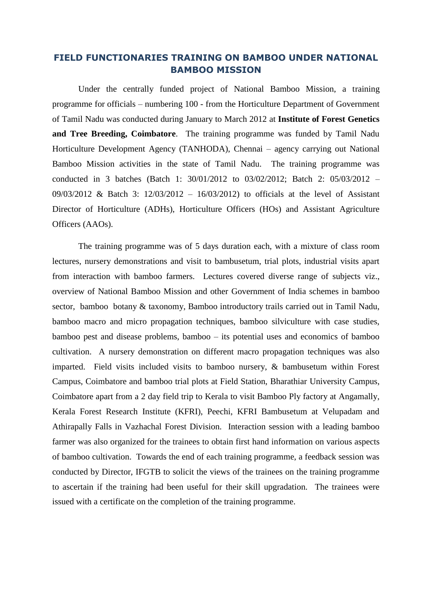## **FIELD FUNCTIONARIES TRAINING ON BAMBOO UNDER NATIONAL BAMBOO MISSION**

Under the centrally funded project of National Bamboo Mission, a training programme for officials – numbering 100 - from the Horticulture Department of Government of Tamil Nadu was conducted during January to March 2012 at **Institute of Forest Genetics and Tree Breeding, Coimbatore**. The training programme was funded by Tamil Nadu Horticulture Development Agency (TANHODA), Chennai – agency carrying out National Bamboo Mission activities in the state of Tamil Nadu. The training programme was conducted in 3 batches (Batch 1: 30/01/2012 to 03/02/2012; Batch 2: 05/03/2012 – 09/03/2012 & Batch 3: 12/03/2012 – 16/03/2012) to officials at the level of Assistant Director of Horticulture (ADHs), Horticulture Officers (HOs) and Assistant Agriculture Officers (AAOs).

The training programme was of 5 days duration each, with a mixture of class room lectures, nursery demonstrations and visit to bambusetum, trial plots, industrial visits apart from interaction with bamboo farmers. Lectures covered diverse range of subjects viz., overview of National Bamboo Mission and other Government of India schemes in bamboo sector, bamboo botany & taxonomy, Bamboo introductory trails carried out in Tamil Nadu, bamboo macro and micro propagation techniques, bamboo silviculture with case studies, bamboo pest and disease problems, bamboo – its potential uses and economics of bamboo cultivation. A nursery demonstration on different macro propagation techniques was also imparted. Field visits included visits to bamboo nursery, & bambusetum within Forest Campus, Coimbatore and bamboo trial plots at Field Station, Bharathiar University Campus, Coimbatore apart from a 2 day field trip to Kerala to visit Bamboo Ply factory at Angamally, Kerala Forest Research Institute (KFRI), Peechi, KFRI Bambusetum at Velupadam and Athirapally Falls in Vazhachal Forest Division. Interaction session with a leading bamboo farmer was also organized for the trainees to obtain first hand information on various aspects of bamboo cultivation. Towards the end of each training programme, a feedback session was conducted by Director, IFGTB to solicit the views of the trainees on the training programme to ascertain if the training had been useful for their skill upgradation. The trainees were issued with a certificate on the completion of the training programme.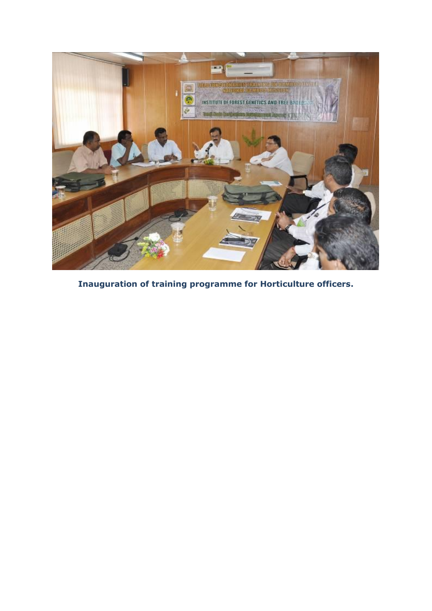

**Inauguration of training programme for Horticulture officers.**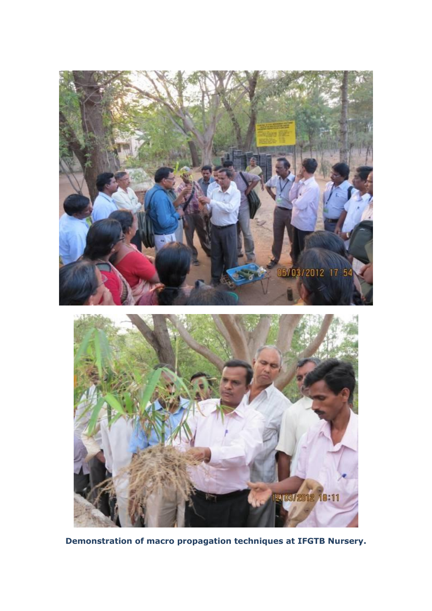

**Demonstration of macro propagation techniques at IFGTB Nursery.**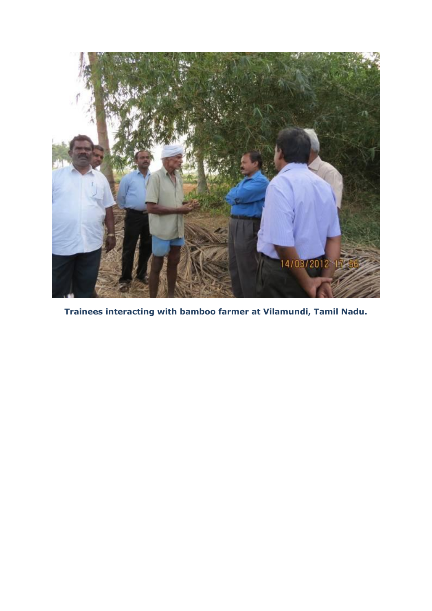

**Trainees interacting with bamboo farmer at Vilamundi, Tamil Nadu.**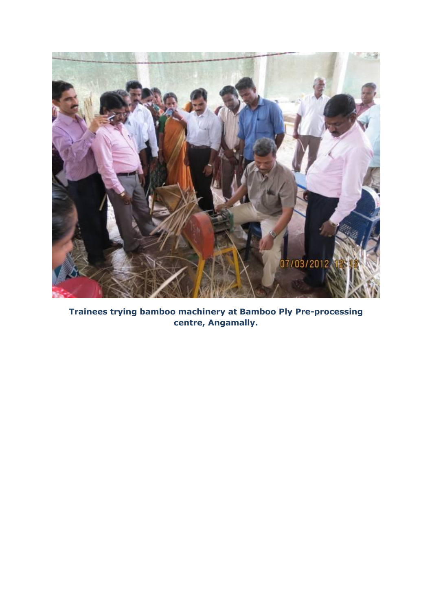

**Trainees trying bamboo machinery at Bamboo Ply Pre-processing centre, Angamally.**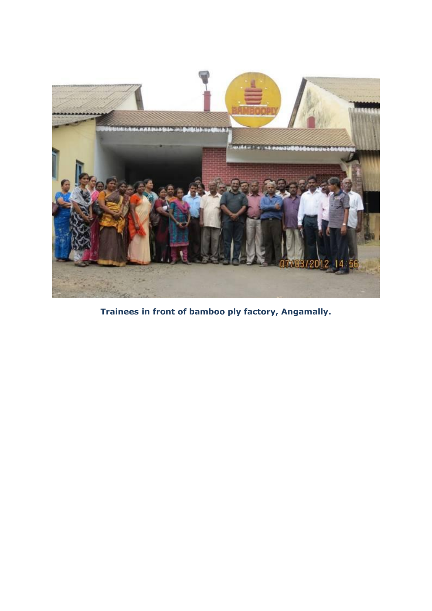

**Trainees in front of bamboo ply factory, Angamally.**